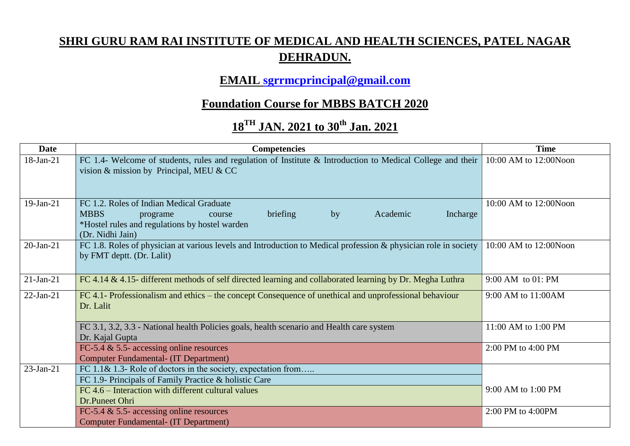## **SHRI GURU RAM RAI INSTITUTE OF MEDICAL AND HEALTH SCIENCES, PATEL NAGAR DEHRADUN.**

## **EMAIL [sgrrmcprincipal@gmail.com](mailto:sgrrmcprincipal@gmail.com)**

## **Foundation Course for MBBS BATCH 2020**

## **18TH JAN. 2021 to 30th Jan. 2021**

| <b>Date</b>  | <b>Competencies</b>                                                                                                           | <b>Time</b>           |  |
|--------------|-------------------------------------------------------------------------------------------------------------------------------|-----------------------|--|
| 18-Jan-21    | FC 1.4- Welcome of students, rules and regulation of Institute & Introduction to Medical College and their                    | 10:00 AM to 12:00Noon |  |
|              | vision & mission by Principal, MEU & CC                                                                                       |                       |  |
|              |                                                                                                                               |                       |  |
|              |                                                                                                                               |                       |  |
| $19-Jan-21$  | FC 1.2. Roles of Indian Medical Graduate                                                                                      | 10:00 AM to 12:00Noon |  |
|              | <b>MBBS</b><br>briefing<br>Incharge<br>by<br>Academic<br>programe<br>course<br>*Hostel rules and regulations by hostel warden |                       |  |
|              | (Dr. Nidhi Jain)                                                                                                              |                       |  |
| $20$ -Jan-21 | FC 1.8. Roles of physician at various levels and Introduction to Medical profession & physician role in society               | 10:00 AM to 12:00Noon |  |
|              | by FMT deptt. (Dr. Lalit)                                                                                                     |                       |  |
|              |                                                                                                                               |                       |  |
| $21-Jan-21$  | FC 4.14 & 4.15- different methods of self directed learning and collaborated learning by Dr. Megha Luthra                     | 9:00 AM to 01: PM     |  |
| $22-Jan-21$  | FC 4.1- Professionalism and ethics – the concept Consequence of unethical and unprofessional behaviour                        | 9:00 AM to 11:00AM    |  |
|              | Dr. Lalit                                                                                                                     |                       |  |
|              |                                                                                                                               |                       |  |
|              | FC 3.1, 3.2, 3.3 - National health Policies goals, health scenario and Health care system                                     | 11:00 AM to 1:00 PM   |  |
|              | Dr. Kajal Gupta                                                                                                               | 2:00 PM to 4:00 PM    |  |
|              | FC-5.4 $\&$ 5.5- accessing online resources<br><b>Computer Fundamental- (IT Department)</b>                                   |                       |  |
| $23$ -Jan-21 | FC 1.1& 1.3- Role of doctors in the society, expectation from                                                                 |                       |  |
|              | FC 1.9- Principals of Family Practice & holistic Care                                                                         |                       |  |
|              | FC 4.6 – Interaction with different cultural values                                                                           | 9:00 AM to 1:00 PM    |  |
|              | Dr.Puneet Ohri                                                                                                                |                       |  |
|              | FC-5.4 $\&$ 5.5- accessing online resources                                                                                   | 2:00 PM to 4:00PM     |  |
|              | <b>Computer Fundamental- (IT Department)</b>                                                                                  |                       |  |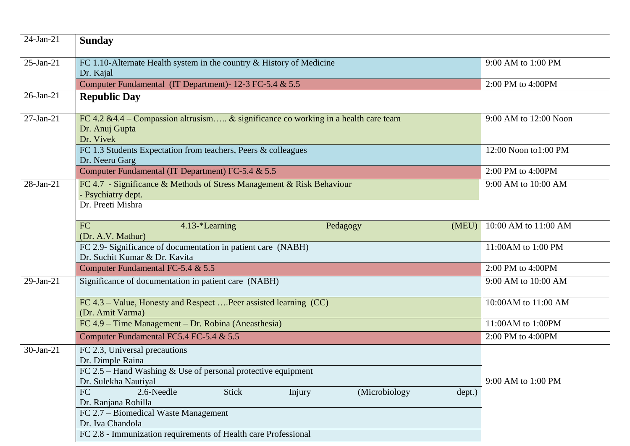| $24$ -Jan-21 | <b>Sunday</b>                                                                                                                                            |                       |  |
|--------------|----------------------------------------------------------------------------------------------------------------------------------------------------------|-----------------------|--|
| $25$ -Jan-21 | FC 1.10-Alternate Health system in the country $&$ History of Medicine<br>Dr. Kajal                                                                      | 9:00 AM to 1:00 PM    |  |
|              | Computer Fundamental (IT Department)-12-3 FC-5.4 & 5.5                                                                                                   | 2:00 PM to 4:00PM     |  |
| $26$ -Jan-21 | <b>Republic Day</b>                                                                                                                                      |                       |  |
| $27-Ian-21$  | FC 4.2 & 4.4 – Compassion altrusism & significance co working in a health care team<br>Dr. Anuj Gupta<br>Dr. Vivek                                       | 9:00 AM to 12:00 Noon |  |
|              | FC 1.3 Students Expectation from teachers, Peers & colleagues<br>Dr. Neeru Garg                                                                          | 12:00 Noon to1:00 PM  |  |
|              | Computer Fundamental (IT Department) FC-5.4 & 5.5                                                                                                        | 2:00 PM to 4:00PM     |  |
| $28$ -Jan-21 | FC 4.7 - Significance & Methods of Stress Management & Risk Behaviour<br>- Psychiatry dept.<br>Dr. Preeti Mishra                                         | 9:00 AM to 10:00 AM   |  |
|              | FC<br>4.13-*Learning<br>(MEU)<br>Pedagogy<br>(Dr. A.V. Mathur)                                                                                           | 10:00 AM to 11:00 AM  |  |
|              | FC 2.9- Significance of documentation in patient care (NABH)<br>Dr. Suchit Kumar & Dr. Kavita                                                            | 11:00AM to 1:00 PM    |  |
|              | Computer Fundamental FC-5.4 & 5.5                                                                                                                        | 2:00 PM to 4:00PM     |  |
| $29$ -Jan-21 | Significance of documentation in patient care (NABH)                                                                                                     | 9:00 AM to 10:00 AM   |  |
|              | FC 4.3 – Value, Honesty and Respect  Peer assisted learning (CC)<br>(Dr. Amit Varma)                                                                     | 10:00AM to 11:00 AM   |  |
|              | FC 4.9 – Time Management – Dr. Robina (Aneasthesia)                                                                                                      | 11:00AM to 1:00PM     |  |
|              | Computer Fundamental FC5.4 FC-5.4 & 5.5                                                                                                                  | 2:00 PM to 4:00PM     |  |
| $30-Ian-21$  | FC 2.3, Universal precautions<br>Dr. Dimple Raina<br>FC $2.5$ – Hand Washing & Use of personal protective equipment<br>Dr. Sulekha Nautiyal              | 9:00 AM to 1:00 PM    |  |
|              | FC<br><b>Stick</b><br>2.6-Needle<br>(Microbiology<br>Injury<br>dept.)<br>Dr. Ranjana Rohilla<br>FC 2.7 – Biomedical Waste Management<br>Dr. Iva Chandola |                       |  |
|              | FC 2.8 - Immunization requirements of Health care Professional                                                                                           |                       |  |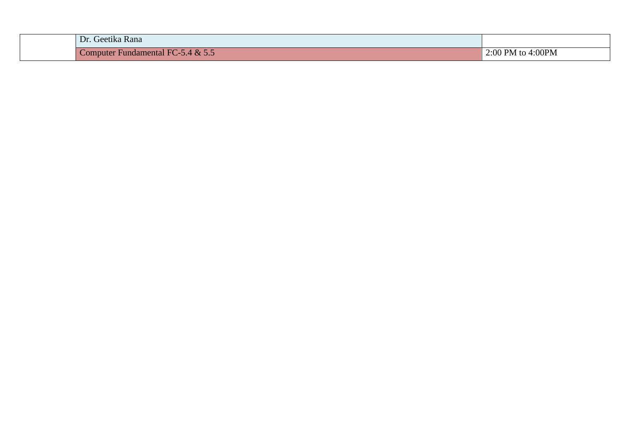| Dr. Geetika Rana                  |                   |
|-----------------------------------|-------------------|
| Computer Fundamental FC-5.4 & 5.5 | 2:00 PM to 4:00PM |